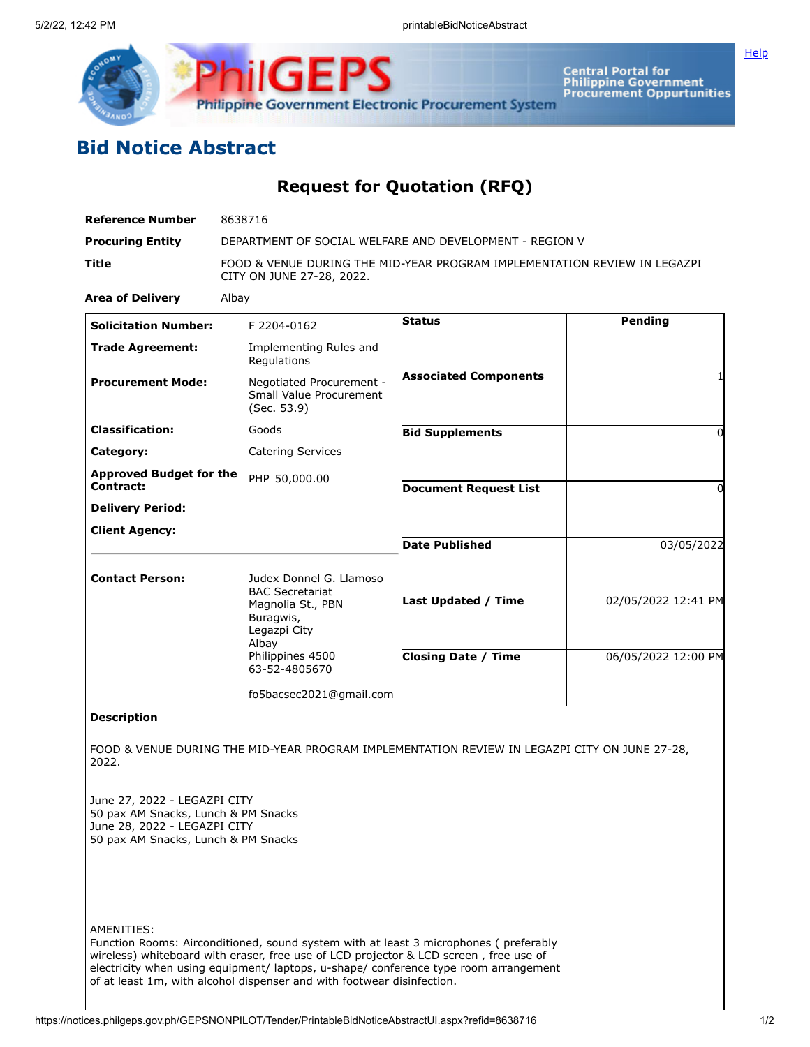

Central Portal for<br>Philippine Government<br>Procurement Oppurtunities

**[Help](javascript:void(window.open()** 

## **Bid Notice Abstract**

## **Request for Quotation (RFQ)**

| <b>Reference Number</b>                                                                                                                             | 8638716                                                                                                                                           |                              |                     |
|-----------------------------------------------------------------------------------------------------------------------------------------------------|---------------------------------------------------------------------------------------------------------------------------------------------------|------------------------------|---------------------|
| <b>Procuring Entity</b>                                                                                                                             | DEPARTMENT OF SOCIAL WELFARE AND DEVELOPMENT - REGION V                                                                                           |                              |                     |
| Title                                                                                                                                               | FOOD & VENUE DURING THE MID-YEAR PROGRAM IMPLEMENTATION REVIEW IN LEGAZPI<br>CITY ON JUNE 27-28, 2022.                                            |                              |                     |
| <b>Area of Delivery</b>                                                                                                                             | Albay                                                                                                                                             |                              |                     |
| <b>Solicitation Number:</b>                                                                                                                         | F 2204-0162                                                                                                                                       | <b>Status</b>                | Pending             |
| <b>Trade Agreement:</b>                                                                                                                             | Implementing Rules and<br>Regulations                                                                                                             |                              |                     |
| <b>Procurement Mode:</b>                                                                                                                            | Negotiated Procurement -<br>Small Value Procurement<br>(Sec. 53.9)                                                                                | <b>Associated Components</b> | $\mathbf{1}$        |
| <b>Classification:</b>                                                                                                                              | Goods                                                                                                                                             | <b>Bid Supplements</b>       | $\Omega$            |
| Category:                                                                                                                                           | <b>Catering Services</b>                                                                                                                          |                              |                     |
| <b>Approved Budget for the</b><br>Contract:                                                                                                         | PHP 50,000.00                                                                                                                                     | <b>Document Request List</b> | 0                   |
| <b>Delivery Period:</b>                                                                                                                             |                                                                                                                                                   |                              |                     |
| <b>Client Agency:</b>                                                                                                                               |                                                                                                                                                   |                              |                     |
|                                                                                                                                                     |                                                                                                                                                   | <b>Date Published</b>        | 03/05/2022          |
| <b>Contact Person:</b>                                                                                                                              | Judex Donnel G. Llamoso<br><b>BAC Secretariat</b><br>Magnolia St., PBN<br>Buragwis,<br>Legazpi City<br>Albay<br>Philippines 4500<br>63-52-4805670 |                              |                     |
|                                                                                                                                                     |                                                                                                                                                   | Last Updated / Time          | 02/05/2022 12:41 PM |
|                                                                                                                                                     |                                                                                                                                                   | <b>Closing Date / Time</b>   | 06/05/2022 12:00 PM |
|                                                                                                                                                     | fo5bacsec2021@gmail.com                                                                                                                           |                              |                     |
| <b>Description</b>                                                                                                                                  |                                                                                                                                                   |                              |                     |
| 2022.<br>June 27, 2022 - LEGAZPI CITY<br>50 pax AM Snacks, Lunch & PM Snacks<br>June 28, 2022 - LEGAZPI CITY<br>50 pax AM Snacks, Lunch & PM Snacks | FOOD & VENUE DURING THE MID-YEAR PROGRAM IMPLEMENTATION REVIEW IN LEGAZPI CITY ON JUNE 27-28,                                                     |                              |                     |
| AMENITIES:                                                                                                                                          |                                                                                                                                                   |                              |                     |

Function Rooms: Airconditioned, sound system with at least 3 microphones ( preferably wireless) whiteboard with eraser, free use of LCD projector & LCD screen , free use of electricity when using equipment/ laptops, u-shape/ conference type room arrangement of at least 1m, with alcohol dispenser and with footwear disinfection.